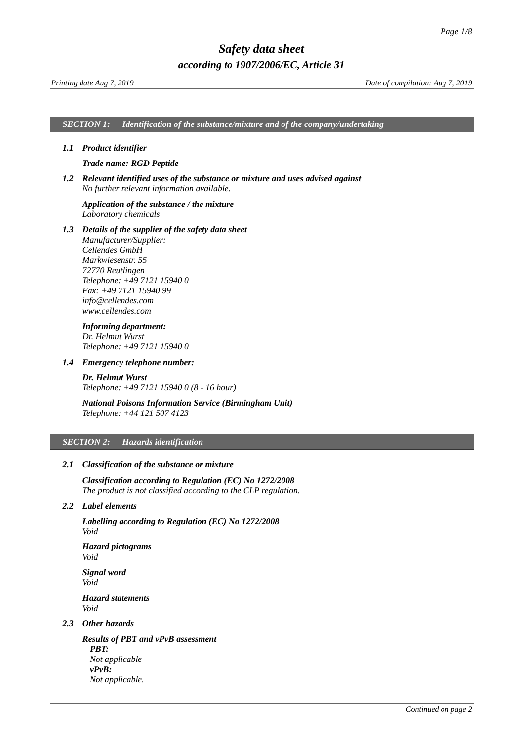*SECTION 1: Identification of the substance/mixture and of the company/undertaking*

#### *1.1 Product identifier*

### <span id="page-0-0"></span>*Trade name: RGD Peptide*

*1.2 Relevant identified uses of the substance or mixture and uses advised against No further relevant information available.*

# *Application of the substance / the mixture Laboratory chemicals*

*1.3 Details of the supplier of the safety data sheet Manufacturer/Supplier: Cellendes GmbH Markwiesenstr. 55 72770 Reutlingen Telephone: +49 7121 15940 0 Fax: +49 7121 15940 99 info@cellendes.com www.cellendes.com*

# *Informing department:*

*Dr. Helmut Wurst Telephone: +49 7121 15940 0*

#### *1.4 Emergency telephone number:*

*Dr. Helmut Wurst Telephone: +49 7121 15940 0 (8 - 16 hour)*

# *National Poisons Information Service (Birmingham Unit) Telephone: +44 121 507 4123*

### *SECTION 2: Hazards identification*

### *2.1 Classification of the substance or mixture*

*Classification according to Regulation (EC) No 1272/2008 The product is not classified according to the CLP regulation.*

# *2.2 Label elements*

*Labelling according to Regulation (EC) No 1272/2008 Void*

*Hazard pictograms Void*

*Signal word Void Hazard statements Void*

# *2.3 Other hazards*

*Results of PBT and vPvB assessment PBT: Not applicable vPvB: Not applicable.*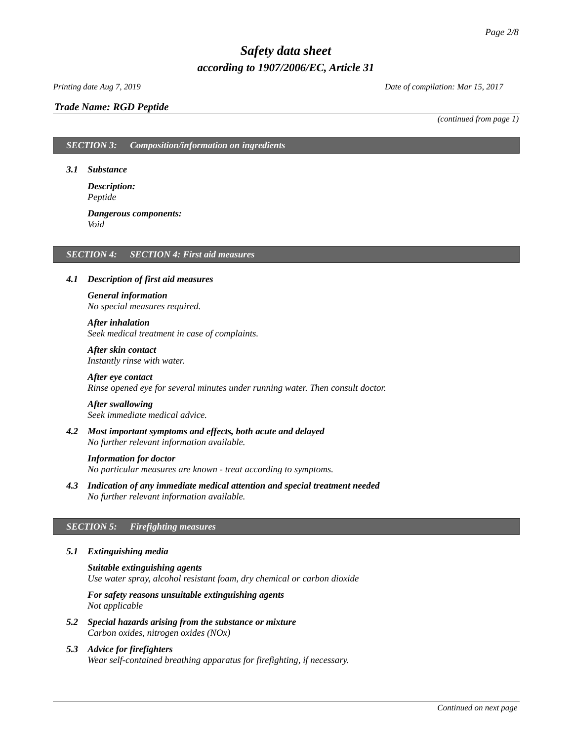# *Trade Name: [RGD Peptide](#page-0-0)*

*Printing date Aug 7, 2019 Date of compilation: Mar 15, 2017*

*(continued from page 1)*

# *SECTION 3: Composition/information on ingredients*

*3.1 Substance*

*Description: Peptide*

*Dangerous components: Void*

### *SECTION 4: SECTION 4: First aid measures*

#### *4.1 Description of first aid measures*

# *General information No special measures required.*

*After inhalation*

*Seek medical treatment in case of complaints.*

*After skin contact Instantly rinse with water.*

*After eye contact Rinse opened eye for several minutes under running water. Then consult doctor.*

# *After swallowing*

*Seek immediate medical advice.*

*4.2 Most important symptoms and effects, both acute and delayed No further relevant information available.*

#### *Information for doctor*

*No particular measures are known - treat according to symptoms.*

*4.3 Indication of any immediate medical attention and special treatment needed No further relevant information available.*

# *SECTION 5: Firefighting measures*

# *5.1 Extinguishing media*

*Suitable extinguishing agents Use water spray, alcohol resistant foam, dry chemical or carbon dioxide*

*For safety reasons unsuitable extinguishing agents Not applicable*

- *5.2 Special hazards arising from the substance or mixture Carbon oxides, nitrogen oxides (NOx)*
- *5.3 Advice for firefighters Wear self-contained breathing apparatus for firefighting, if necessary.*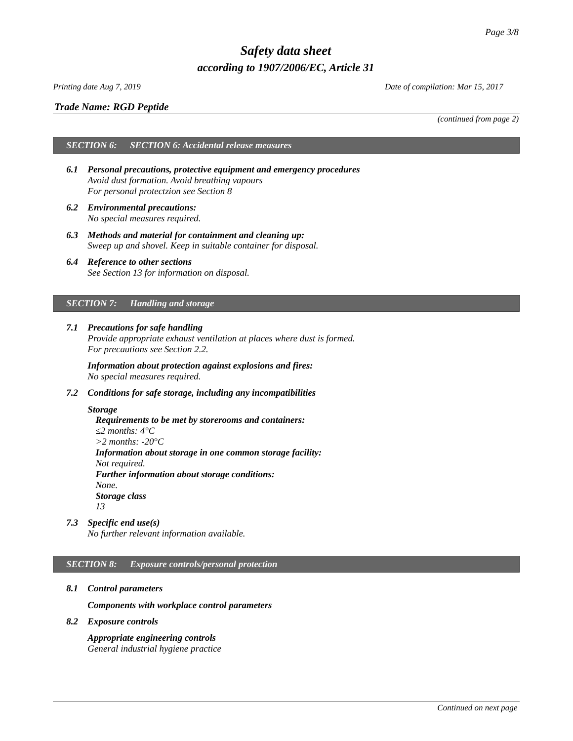# *Trade Name: [RGD Peptide](#page-0-0)*

*Printing date Aug 7, 2019 Date of compilation: Mar 15, 2017*

*(continued from page 2)*

# *SECTION 6: SECTION 6: Accidental release measures*

- *6.1 Personal precautions, protective equipment and emergency procedures Avoid dust formation. Avoid breathing vapours For personal protectzion see Section 8*
- *6.2 Environmental precautions: No special measures required.*
- *6.3 Methods and material for containment and cleaning up: Sweep up and shovel. Keep in suitable container for disposal.*
- *6.4 Reference to other sections See Section 13 for information on disposal.*

# *SECTION 7: Handling and storage*

*7.1 Precautions for safe handling Provide appropriate exhaust ventilation at places where dust is formed. For precautions see Section 2.2.*

*Information about protection against explosions and fires: No special measures required.*

*7.2 Conditions for safe storage, including any incompatibilities*

# *Storage*

*Requirements to be met by storerooms and containers: ≤2 months: 4°C >2 months: -20°C Information about storage in one common storage facility: Not required. Further information about storage conditions: None. Storage class 13*

*7.3 Specific end use(s)*

*No further relevant information available.*

# *SECTION 8: Exposure controls/personal protection*

*8.1 Control parameters*

*Components with workplace control parameters*

*8.2 Exposure controls*

*Appropriate engineering controls General industrial hygiene practice*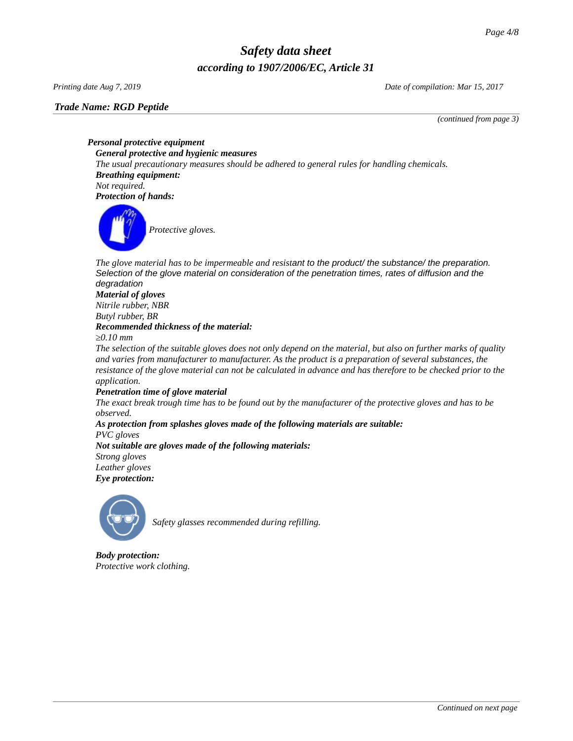# *Trade Name: [RGD Peptide](#page-0-0)*

*Printing date Aug 7, 2019 Date of compilation: Mar 15, 2017*

*(continued from page 3)*

*Personal protective equipment General protective and hygienic measures The usual precautionary measures should be adhered to general rules for handling chemicals. Breathing equipment: Not required. Protection of hands:*



The glove material has to be impermeable and resistant to the product/ the substance/ the preparation. *Selection of the glove material on consideration of the penetration times, rates of diffusion and the degradation*

# *Material of gloves Nitrile rubber, NBR Butyl rubber, BR Recommended thickness of the material:*

*≥0.10 mm*

*The selection of the suitable gloves does not only depend on the material, but also on further marks of quality and varies from manufacturer to manufacturer. As the product is a preparation of several substances, the resistance of the glove material can not be calculated in advance and has therefore to be checked prior to the application.*

# *Penetration time of glove material*

*The exact break trough time has to be found out by the manufacturer of the protective gloves and has to be observed.*

*As protection from splashes gloves made of the following materials are suitable: PVC gloves Not suitable are gloves made of the following materials:*

*Strong gloves Leather gloves*

*Eye protection:*



*Safety glasses recommended during refilling.*

*Body protection: Protective work clothing.*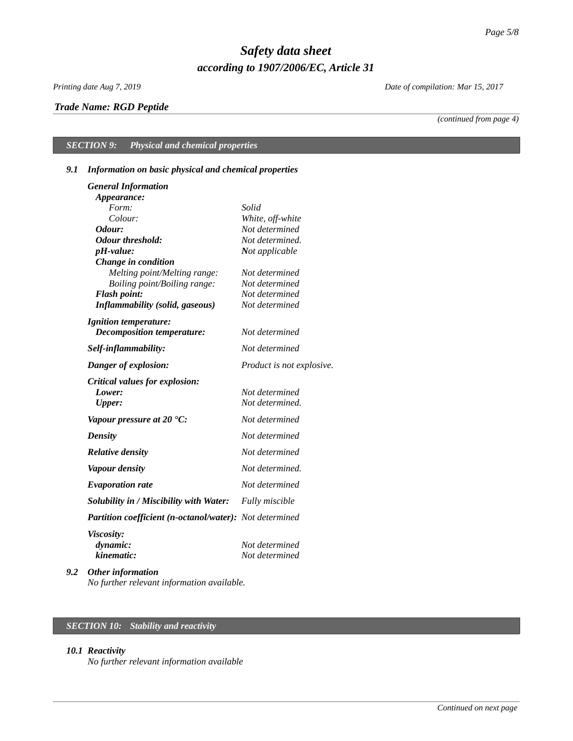# *Trade Name: [RGD Peptide](#page-0-0)*

*Printing date Aug 7, 2019 Date of compilation: Mar 15, 2017*

*(continued from page 4)*

# *SECTION 9: Physical and chemical properties*

# *9.1 Information on basic physical and chemical properties*

| <b>General Information</b>                                     |                           |
|----------------------------------------------------------------|---------------------------|
| Appearance:                                                    |                           |
| Form:                                                          | Solid                     |
| Colour:                                                        | White, off-white          |
| Odour:                                                         | Not determined            |
| <b>Odour threshold:</b>                                        | Not determined.           |
| pH-value:                                                      | Not applicable            |
| Change in condition                                            |                           |
| Melting point/Melting range:                                   | Not determined            |
| Boiling point/Boiling range:                                   | Not determined            |
| <b>Flash point:</b>                                            | Not determined            |
| <b>Inflammability (solid, gaseous)</b>                         | Not determined            |
| <b>Ignition temperature:</b>                                   |                           |
| <b>Decomposition temperature:</b>                              | Not determined            |
| Self-inflammability:                                           | Not determined            |
| Danger of explosion:                                           | Product is not explosive. |
| Critical values for explosion:                                 |                           |
| Lower:                                                         | Not determined            |
| <b>Upper:</b>                                                  | Not determined.           |
| Vapour pressure at 20 $^{\circ}$ C:                            | Not determined            |
| <b>Density</b>                                                 | Not determined            |
| <b>Relative density</b>                                        | Not determined            |
| <b>Vapour density</b>                                          | Not determined.           |
| <b>Evaporation rate</b>                                        | Not determined            |
| Solubility in / Miscibility with Water:                        | <b>Fully miscible</b>     |
| <b>Partition coefficient (n-octanol/water):</b> Not determined |                           |
| Viscosity:                                                     |                           |
| dynamic:                                                       | Not determined            |
| kinematic:                                                     | Not determined            |
| $\cdot$ $\cdot$                                                |                           |

*9.2 Other information No further relevant information available.*

# *SECTION 10: Stability and reactivity*

### *10.1 Reactivity*

*No further relevant information available*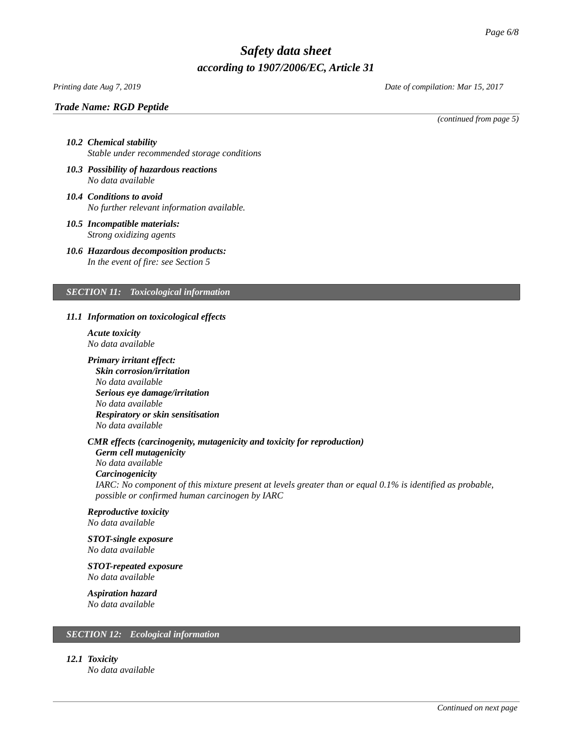# *Trade Name: [RGD Peptide](#page-0-0)*

*Printing date Aug 7, 2019 Date of compilation: Mar 15, 2017*

*(continued from page 5)*

# *10.2 Chemical stability Stable under recommended storage conditions*

- *10.3 Possibility of hazardous reactions No data available*
- *10.4 Conditions to avoid No further relevant information available.*
- *10.5 Incompatible materials: Strong oxidizing agents*
- *10.6 Hazardous decomposition products: In the event of fire: see Section 5*

### *SECTION 11: Toxicological information*

# *11.1 Information on toxicological effects*

- *Acute toxicity No data available*
- *Primary irritant effect: Skin corrosion/irritation No data available Serious eye damage/irritation No data available Respiratory or skin sensitisation*

# *CMR effects (carcinogenity, mutagenicity and toxicity for reproduction)*

*Germ cell mutagenicity No data available Carcinogenicity IARC: No component of this mixture present at levels greater than or equal 0.1% is identified as probable, possible or confirmed human carcinogen by IARC*

# *Reproductive toxicity*

*No data available*

*No data available*

#### *STOT-single exposure No data available*

*STOT-repeated exposure*

*No data available*

# *Aspiration hazard*

*No data available*

# *SECTION 12: Ecological information*

*12.1 Toxicity*

*No data available*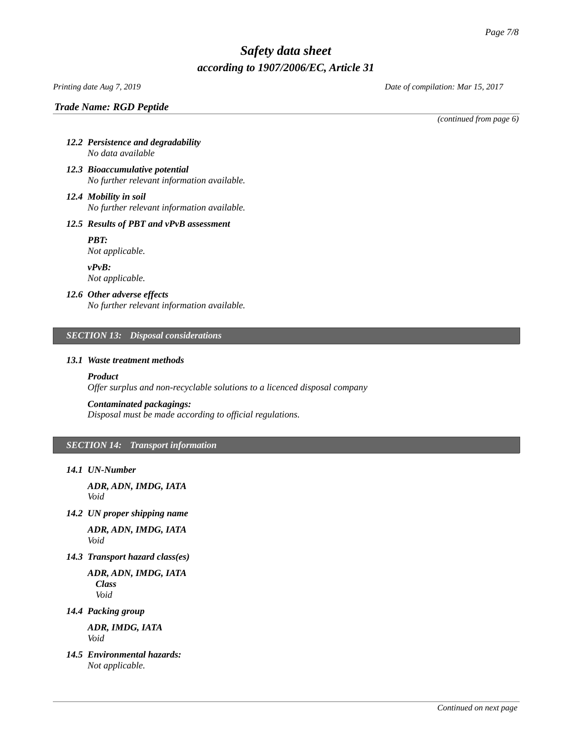# *Printing date Aug 7, 2019 Date of compilation: Mar 15, 2017*

*Trade Name: [RGD Peptide](#page-0-0)*

*(continued from page 6)*

- *12.2 Persistence and degradability No data available*
- *12.3 Bioaccumulative potential No further relevant information available.*
- *12.4 Mobility in soil No further relevant information available.*

# *12.5 Results of PBT and vPvB assessment*

*PBT: Not applicable.*

*vPvB: Not applicable.*

# *12.6 Other adverse effects*

*No further relevant information available.*

# *SECTION 13: Disposal considerations*

# *13.1 Waste treatment methods*

# *Product*

*Offer surplus and non-recyclable solutions to a licenced disposal company*

# *Contaminated packagings:*

*Disposal must be made according to official regulations.*

# *SECTION 14: Transport information*

*14.1 UN-Number*

*ADR, ADN, IMDG, IATA Void*

*14.2 UN proper shipping name*

*ADR, ADN, IMDG, IATA Void*

*14.3 Transport hazard class(es)*

*ADR, ADN, IMDG, IATA Class Void*

*14.4 Packing group*

*ADR, IMDG, IATA Void*

*14.5 Environmental hazards: Not applicable.*